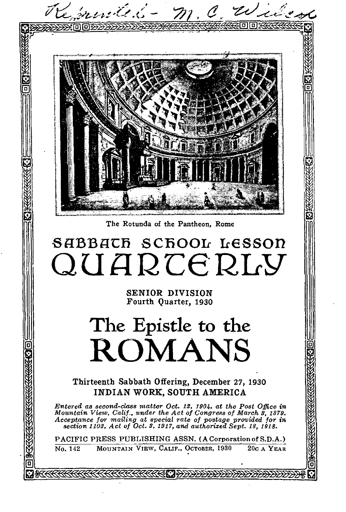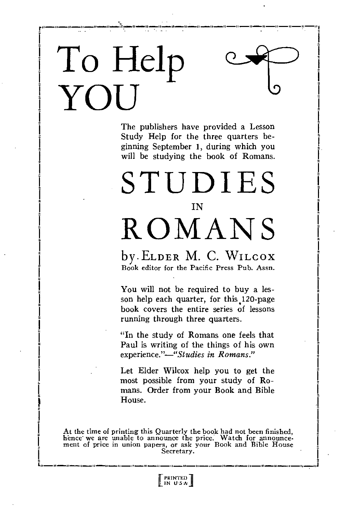# **To Help YOU**

The publishers have provided a Lesson Study Help for the three quarters beginning September 1, during which you will be studying the book of Romans.

## STUDIES **IN** ROMANS

by•ELDER M. C. WILCOX Book editor for the Pacific Press Pub. Assn.

You will not be required to buy a lesson help each quarter, for this 120-page book covers the entire series of lessons running through three quarters.

"In the study of Romans one feels that Paul is writing of the things of his own *experience."—"Studies in Romans."* 

Let Elder Wilcox help you to get the most possible from your study of Romans. Order from your Book and Bible House.

At the time of printing this Quarterly the book had not been finished, hence we are unable to announce the price. Watch for announcement of price in union papers, or ask your Book and Bible House Secretary.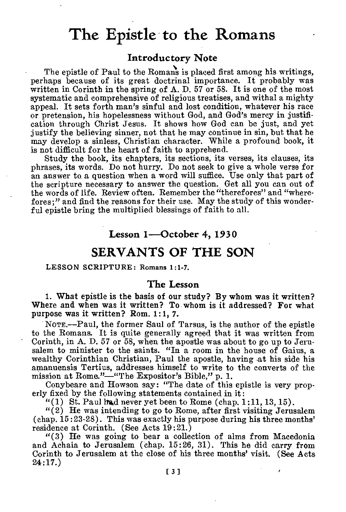## **The Epistle to the Romans**

## **Introductory Note**

The epistle of Paul to the Romans is placed first among his writings, perhaps because of its great doctrinal importance. It probably was written in Corinth in the spring of A. D. 57 or 58. It is one of the most systematic and comprehensive of religious treatises, and withal a mighty appeal. It sets forth man's sinful and lost condition, whatever his race or pretension, his hopelessness without God, and God's mercy in justification through Christ Jesus. It shows how God can be just, and yet justify the believing sinner, not that he may continue in sin, but that he may develop a sinless, Christian character. While a profound book, it is not difficult for the heart of faith to apprehend.

Study the book, its chapters, its sections, its verses, its clauses, its phrases, its words. Do not hurry. Do not seek to give a whole verse for an answer to a question when a word will suffice. Use only that part of the scripture necessary to answer the question. Get all you can out of the words of life. Review often. Remember the "therefores" and "wherefores;" and find the reasons for their use. May the study of this wonderful epistle bring the multiplied blessings of faith to all.

#### **Lesson 1—October 4, 1930**

## SERVANTS OF THE SON

#### LESSON SCRIPTURE: Romans 1:1-7.

#### **The Lesson**

i. What epistle is the basis of our study? By whom was it written? Where and when was it written? To whom is it addressed? For what purpose was it written? Rom. 1:1, 7.

NOTE.—Paul, the former Saul of Tarsus, is the author of the epistle to the Romans. It is quite generally agreed that it was written from Corinth, in A. D. 57 or 58, when the apostle was about to go up to Jerusalem to minister to the saints. "In a room in the house of Gaius, a wealthy Corinthian Christian, Paul the apostle, having at his side his amanuensis Tertius, addresses himself to write to the converts of the mission at Rome."—"The Expositor's Bible," p. 1.

Conybeare and Howson say: "The date of this epistle is very properly fixed by the following statements contained in it:

"(1) St. Paul ling never yet been to Rome (chap.  $1:11, 13, 15$ ).

"(2) He was intending to go to Rome, after first visiting Jerusalem (chap. 15:23-28). This was exactly his purpose during his three months' residence at Corinth. (See Acts 19:21.)

"(3) He was going to bear a collection of alms from Macedonia and Achaia to Jerusalem (chap. 15:26, 31). This he did carry from Corinth to Jerusalem at the close of his three months' visit. (See Acts 24:17.)

[ 3 ]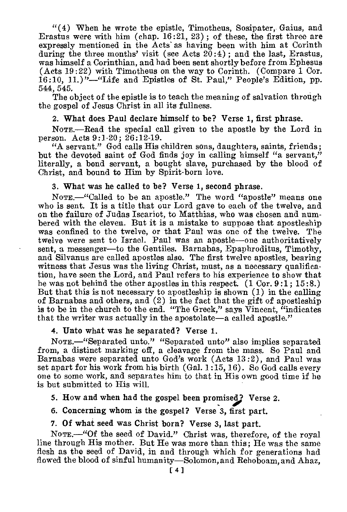$((4)$  When he wrote the epistle, Timotheus, Sosipater, Gaius, and Erastus were with him (chap.  $16:21$ ,  $23$ ); of these, the first three are expressly mentioned in the Acts as having been with him at Corinth during the three months' visit (see Acts  $20:4$ ); and the last, Erastus, was himself a Corinthian, and had been sent shortly before from Ephesus (Acts 19:22) with Timotheus on the way to Corinth. (Compare 1 Cor. 16:10, 11.)"—"Life and Epistles of St. Paul," People's Edition, pp. 544, 545.

The object of the epistle is to teach the meaning of salvation through the gospel of Jesus Christ in all its fullness.

#### 2. What does Paul declare himself to be? Verse 1, first phrase.

NoTE.—Read the special call given to the apostle by the Lord in person. Acts 9:1-20; 26:12-19.

"A servant." God calls His children sons, daughters, saints, friends; but the devoted saint of God finds joy in calling himself "a servant," literally, a bond servant, a bought slave, purchased by the blood of Christ, and bound to Him by Spirit-born love.

#### 3. What was he called to be? Verse 1, second phrase.

NOTE.—"Called to be an apostle." The word "apostle" means one who is sent. It is a title that our Lord gave to each of the twelve, and on the failure of Judas Iscariot, to Matthias, who was chosen and numbered with the eleven. But it is a mistake to suppose that apostleship was confined to the twelve, or that Paul was one of the twelve. The twelve were sent to Israel. Paul was an apostle—one authoritatively sent, a messenger—to the Gentiles. Barnabas, Epaphroditus, Timothy, and Silvanus are called apostles also. The first twelve apostles, bearing witness that Jesus was the living Christ, must, as a necessary qualification, have seen the Lord, and Paul refers to his experience to show that he was not behind the other apostles in this respect. (1 Cor. 9:1; 15:8.) But that this is not necessary to apostleship is shown (1) in the calling of Barnabas and others, and (2) in the fact that the gift of apostleship is to be in the church to the end. "The Greek," says  $\tilde{V}$ incent, "indicates that the writer was actually in the apostolate—a called apostle."

#### 4. Unto what was he separated? Verse 1.

NOTE.--"Separated unto." "Separated unto" also implies separated from, a distinct marking off, a cleavage from the mass. So Paul and Barnabas were separated unto God's work (Acts 13 :2), and Paul was set apart for his work from his birth (Gal. 1:15, 16). So God calls every one to some work, and separates him to that in His own good time if he is but submitted to His will.

#### 5. How and when had the gospel been promised? Verse 2.

6. Concerning whom is the gospel? Verse 3, first part.

#### 7. Of what seed was Christ born? Verse 3, last part.

NOTE.—"Of the seed of David." Christ was, therefore, of the royal line through His mother. But He was more than this; He was the same flesh as the seed of David, in and through which for generations had flowed the blood of sinful humanity—Solomon, and Rehoboam, and Ahaz,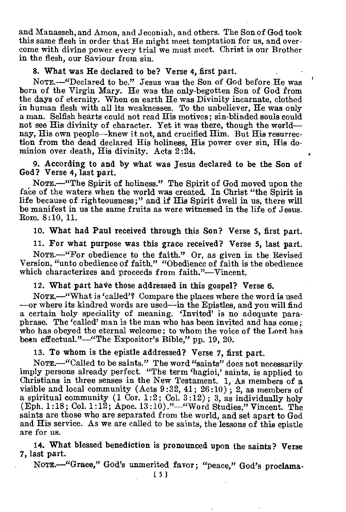and Manasseh, and Amon, and Jeconiah, and others. The Son of God took this same flesh in order that He might meet temptation for us, and overcome with divine power every trial we must meet. Christ is our Brother in the flesh, our Saviour from sin.

 $\lambda$ 

#### 8. What was He declared to be? Verse 4, first part.

NOTE.—"Declared to be." Jesus was the Son of God before He was born of the Virgin Mary. He was the only-begotten Son of God from the days of eternity. When on earth He was Divinity incarnate, clothed in human flesh with all its weaknesses. To the unbeliever, He was only a man. Selfish hearts could not read His motives; sin-blinded souls could not see His divinity of character. Yet it was there, though the world nay, His own people—knew it not, and crucified Him. But His resurrection from the dead declared His holiness, His power over sin, His dominion over death, His divinity. Acts 2:24.

9. According to and by what was Jesus declared to be the Son of God? Verse 4, last part.

NoTE.—"The Spirit of holiness." The Spirit of God moved upon the face of the waters when the world was created. In Christ "the Spirit is life because of righteousness;" and if His Spirit dwell in us, there will be manifest in us the same fruits as were witnessed in the life of Jesus. Rom. 8:10, 11.

10. What had Paul received through this Son? Verse 5, first part.

11. For what purpose was this grace received? Verse 5, last part.

NOTE.—"For obedience to the faith." Or, as given in the Revised Version, "unto obedience of faith." "Obedience of faith is the obedience which characterizes and proceeds from faith."—Vincent.

12. What part have those addressed in this gospel? Verse 6.

NoTE.—"What is 'called'? Compare the places where the word is used —or where its kindred words are used—in the Epistles, and you will find a certain holy speciality of meaning. 'Invited' is no adequate paraphrase. The 'called' man is the man who has been invited and has come; who has obeyed the eternal welcome ; to whom the voice of the Lord has been effectual."—"The Expositor's Bible," pp. 19, 20.

13. To whom is the epistle addressed? Verse 7, first part.

NoTE.—"Called to be saints." The word "saints" does not necessarily imply persons already perfect. "The term 'hagioi,' saints, is applied to Christians in three senses in the New Testament. 1, As members of a visible and local community (Acts 9:32, 41; 26:10); 2, as members of a spiritual community  $(1 \text{ Cor. } 1:2; \text{ Col. } 3:12)$ ; 3, as individually holy (Eph. 1 :18 ; Col. 1:12; Apoc. 13 :10)."—"Word Studies," Vincent. The saints are those who are separated from the world, and set apart to God and His service. As we are called to be saints, the lessons of this epistle are for us.

14. What blessed benediction is pronounced upon the saints? Verse 7, last part.

NOTE .- "Grace," God's unmerited favor; "peace," God's proclama-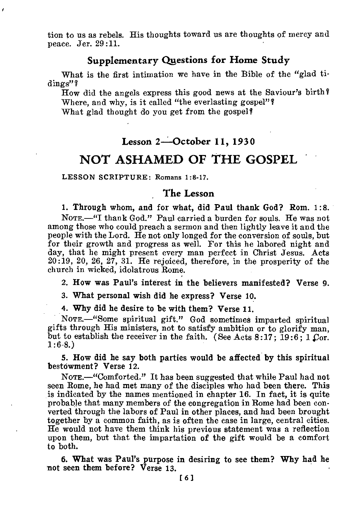tion to us as rebels. His thoughts toward us are thoughts of mercy and peace. Jer. 29:11.

## **Supplementary Questions for Home Study**

What is the first intimation we have in the Bible of the "glad tidings"?

How did the angels express this good news at the Saviour's birth? Where, and why, is it called "the everlasting gospel"?

What glad thought do you get from the gospel?

## **Lesson 2--October 11, 1930**

## NOT ASHAMED OF THE GOSPEL

LESSON SCRIPTURE: Romans 1:8-17.

#### **The Lesson**

1. Through whom, and for what, did Paul thank God? Rom. 1:8.

NOTE.—"I thank God." Paul carried a burden for souls. He was not among those who could preach a sermon and then lightly leave it and the people with the Lord. He not only longed for the conversion of souls, but for their growth and progress as well. For this he labored night and day, that he might present every man perfect in Christ Jesus. Acts  $20:19, 20, 26, 27, 31.$  He rejoiced, therefore, in the prosperity of the church in wicked, idolatrous Rome.

2. How was Paul's interest in the believers manifested? Verse 9.

3. What personal wish did he express? Verse 10.

4. Why did he desire to be with them? Verse 11.

NOTE.—"Some spiritual gift." God sometimes imparted spiritual gifts through His ministers, not to satisfy ambition or to glorify man, but to establish the receiver in the faith. (See Acts 8:17; 19:6; 1 Cor.  $1:6-8.$ 

5. How did he say both parties would be affected by this spiritual bestowment? Verse 12.

NOTE.—"Comforted." It has been suggested that while Paul had not seen Rome, he had met many of the disciples who had been there. This is indicated by the names mentioned in chapter 16. In fact, it is quite probable that many members of the congregation in Rome had been converted through the labors of Paul in other places, and had been brought together by a common faith, as is often the case in large, central cities. He would not have them think his previous statement was a reflection upon them, but that the impartation of the gift would be a comfort to both.

6. What was Paul's purpose in desiring to see them? Why had he not seen them before? Verse 13.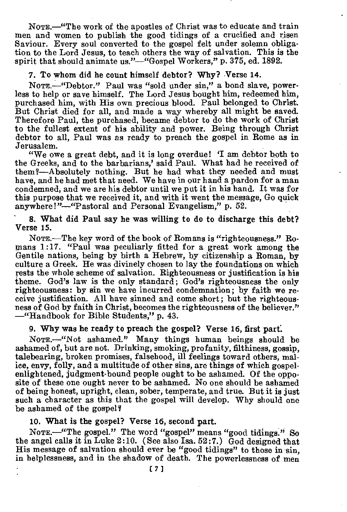NOTE.—"The work of the apostles of Christ was to educate and train men and women to publish the good tidings of a crucified and risen Saviour. Every soul converted to the gospel felt under solemn obligation to the Lord Jesus, to teach others the way of salvation. This is the spirit that should animate us."—"Gospel Workers," p. 375, ed. 1892.

#### 7. To whom did he count himself debtor? Why? Verse 14.

NOTE.—"Debtor." Paul was "sold under sin," a bond slave, powerless to help or save himself. The Lord Jesus bought him, redeemed him, purchased him, with His own precious blood. Paul belonged to Christ. But Christ died for all, and made a way whereby all might be saved. Therefore Paul, the purchased, became debtor to do the work of Christ to the fullest extent of his ability and power. Being through Christ debtor to all, Paul was as ready to preach the gospel in Rome as in Jerusalem.

"We owe a great debt, and it is long overdue! 'I am debtor both to the Greeks, and to the barbarians,' said Paul. What had he received of them ?- Absolutely nothing. But he had what they needed and must have, and he had met that need. We have in our hand a pardon for a man condemned, and we are his debtor until we put it in his hand. It was for this purpose that we received it, and with it went the message, Go quick anywhere!"—"Pastoral and Personal Evangelism," p. 52.

8. What did Paul say he was willing to do to discharge this debt? Verse 15.

NOTE.—The key word of the book of Romans is "righteousness." Ro-mans 1:17. "Paul was peculiarly fitted for a great work among the Gentile nations, being by birth a Hebrew, by citizenship a Roman, by culture a Greek. He was divinely chosen to lay the foundations on which rests the whole scheme of salvation. Righteousness or justification is his theme. God's law is the only standard; God's righteousness the only righteousness: by sin we have incurred condemnation; by faith we *re*ceive justification. All have sinned and come short; but the righteousness of God by faith in Christ, becomes the righteousness of the believer." —"Handbook for Bible Students," p. 43.

#### 9. Why was he ready to preach the gospel? Verse 16, first part:

NOTE.—"Not ashamed." Many things human beings should be ashamed of, but are not. Drinking, smoking, profanity, filthiness, gossip, talebearing, broken promises, falsehood, ill feelings toward others, malice, envy, folly, and a multitude of other sins, are things of which gospelenlightened, judgment-bound people ought to be ashamed. Of the opposite of these one ought never to be ashamed. No one should be ashamed of being honest, upright, clean, sober, temperate, and true. But it is just such a character as this that the gospel will develop. Why should one be ashamed of the gospel?

## 10. What is the gospel? Verse 16, second part.

Nore.—"The gospel." The word "gospel" means "good tidings." So the angel calls it in Luke 2:10. (See also Isa. 52:7.) God designed that His message of salvation should ever be "good tidings" to those in sin, in helplessness, and in the shadow of death. The powerlessness of men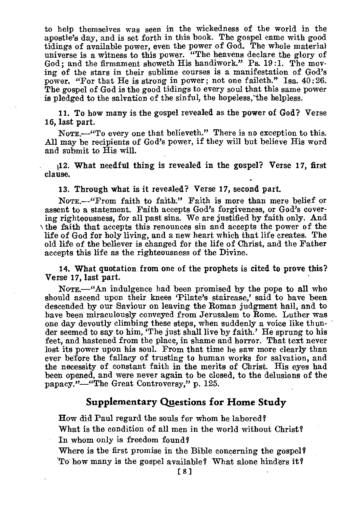to help themselves was seen in the wickedness of the world in the apostle's day, and is set forth in this book. The gospel came with good tidings of available power, even the power of God. The whole material universe is a witness to this power. "The heavens declare the glory of God; and the firmament showeth His handiwork." Ps. 19:1. The moving of the stars in their sublime courses is a manifestation of God's power. "For that He is strong in power; not one faileth." Isa. 40:26. The gospel of God is the good tidings to every soul that this same power is pledged to the salvation of the sinful, the hopeless,-the helpless.

11. To how many is the gospel revealed as the power of God? Verse 16, last part.

NOTE.—"To every one that believeth." There is no exception to this. All may be recipients of God's power, if they will but believe His word and submit to His will.

42. What needful thing is revealed in the gospel? Verse 17, first clause.

13. Through what is it revealed? Verse 17, second part.

NoTE.—"From faith to faith." Faith is more than mere belief or assent to a statement. Faith accepts God's forgiveness, or God's covering righteousness, for all past sins. We are justified by faith only. And \ the faith that accepts this renounces sin and accepts the power of the life of God for holy living, and a new heart which that life creates. The old life of the believer is changed for the life of Christ, and the Father accepts this life as the righteousness of the Divine.

14. What quotation from one of the prophets is cited to prove this? Verse 17, last part.

NOTE.—"An indulgence had been promised by the pope to all who should ascend upon their knees 'Pilate's staircase,' said to have been descended by our Saviour on leaving the Roman judgment hall, and to have been miraculously conveyed from Jerusalem to Rome. Luther was one day devoutly climbing these steps, when suddenly a voice like thunder seemed to say to him, 'The just shall live by faith.' He sprung to his feet, and hastened from the place, in shame and horror. That text never lost its power upon his soul. From that time he saw more clearly than ever before the fallacy of trusting to human works for salvation, and the necessity of constant faith in the merits of Christ. His eyes had been opened, and were never again to be closed, to the delusions of the papacy."—"The Great Controversy," p. 125.

## **Supplementary Questions for Home Study**

How did Paul regard the souls for whom he labored?

What is the condition of all men in the world without Christ? In whom only is freedom found?

Where is the first promise in the Bible concerning the gospel? 'To how many is the gospel available? What alone hinders it?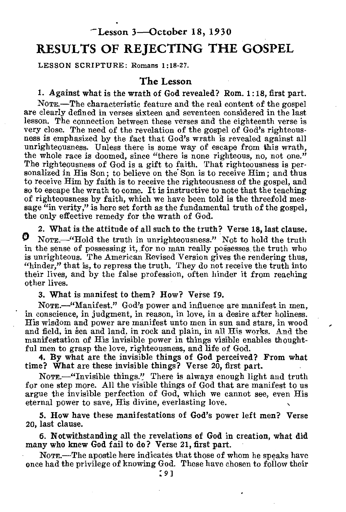## 'Lesson 3—October 18, 1930

## RESULTS OF REJECTING THE GOSPEL

LESSON SCRIPTURE: Romans 1:18-27.

#### The Lesson

#### 1. Against what is the wrath of God revealed? Rom. 1:18, first part.

NOTE.—The characteristic feature and the real content of the gospel are clearly defined in verses sixteen and seventeen considered in the last lesson. The connection between these verses and the eighteenth verse is very close. The need of the revelation of the gospel of God's righteousness is emphasized by the fact that God's wrath is revealed against all unrighteousness. Unless there is some way of escape from this wrath, the whole race is doomed, since "there is none righteous, no, not one." The righteousness of God is a gift to faith. That righteousness is personalized in His Son; to believe on the Son is to receive Him; and thus to receive Him by faith is to receive the righteousness of the gospel, and so to escape the wrath to come. It is instructive to note that the teaching of righteousness by faith, which we have been told is the threefold message "in verity," is here set forth as the fundamental truth of the gospel, the only effective remedy for the wrath of God.

2. What is the attitude of all such to the truth? Verse 18, last clause. O NOTE.—"Hold the truth in unrighteousness." Not to hold the truth in the sense of possessing it, for no man really possesses the truth who is unrighteous. The American Revised Version gives the rendering thus, "hinder," that is, to repress the truth. They do not receive the truth into their lives, and by the false profession, often hinder it from reaching other lives.

3. What is manifest to them? How? Verse 19.

NOTE.—"Manifest." God's power and influence are manifest in men, in conscience, in judgment, in reason, in love, in a desire after holiness. His wisdom and power are manifest unto men in sun and stars, in wood and field, in sea and land, in rock and plain, in all His works. And the manifestation of His invisible power in things visible enables thoughtful men to grasp the love, righteousness, and life of God.

4. By what are the invisible things of God perceived? From what time? What are these invisible things? Verse 20, first part.

NOTE.—"Invisible things." There is always enough light and truth for one step more. All the visible things of God that are manifest to us argue the invisible perfection of God, which we cannot see, even His eternal power to save, His divine, everlasting love.

5. How have these manifestations of God's power left men? Verse 20, last clause.

6. Notwithstanding all the revelations of God in creation, what did many who knew God fail to do? Verse 21, first part.

NOTE.—The apostle here indicates that those of whom he speaks have once had the privilege of knowing God. These have chosen to follow their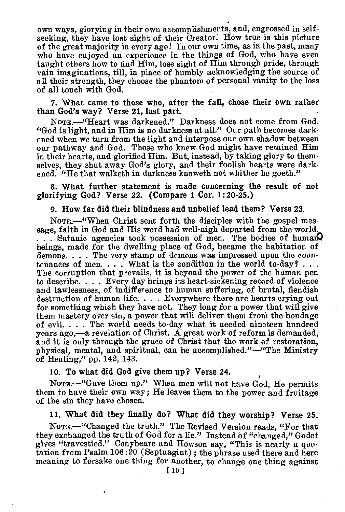own ways, glorying in their own accomplishments, and, engrossed in selfseeking, they have lost sight of their Creator. How true is this picture of the great majority in every age! In our own time, as in the past, many who have enjoyed an experience in the things of God, who have even taught others how to find Him, lose sight of Him through pride, through vain imaginations, till, in place of humbly acknowledging the source of all their strength, they choose the phantom of personal vanity to the loss of all touch with God.

7. 'What came to those who, after the fall, chose their own rather than God's way? Verse 21, last part. •

NomE.—"Heart was darkened." Darkness does not come from God. "God is light, and in Him is no darkness at all." Our path becomes darkened when we turn from the light and interpose our own shadow between our pathway and God. Those who knew God might have retained Him in their hearts, and glorified Him. But, instead, by taking glory to themselves, they shut away God's glory, and their foolish hearts were darkened. "He that walketh in darkness knoweth not whither he goeth."

8. What further statement is made concerning the result of not glorifying God? Verse 22. (Compare 1 Cor. 1:20-25.)

9. How far did their blindness and unbelief lead them? Verse 23.

NomE.—"When Christ sent forth the disciples with the gospel message, faith in God and His word had well-nigh departed from the world.  $\ldots$ . Satanic agencies took possession of men. The bodies of human beings, made for the dwelling place of God, became the habitation of demons. . . . The very stamp of demons was impressed upon the countenances of men... What is the condition in the world to-day  $\ell$ ... The corruption that prevails, it is beyond the power of the human pen to describe. . . . Every day brings its heart-sickening record of violence and lawlessness, of indifference to human suffering, of brutal, fiendish destruction of human life. . . . Everywhere there are hearts crying out for something which they have not. They long for a power that will give them mastery over  $\sin$ , a power that will deliver them from the bondage of evil. . . . The world needs to-day what it needed nineteen hundred years ago,—a revelation of Christ. A great work of reform is demanded, and it is only through the grace of Christ that the work of restoration. physical, mental, and spiritual, can be accomplished."—"The Ministry of Healing," pp. 142, 143.

#### 10. To what did God give them up? Verse 24.

NOTE.—"Gave them up." When men will not have God, He permits them to have their own way; He leaves them to the power and fruitage of the sin they have chosen.

11. What did they finally do? What did they worship? Verse 25.

NOTE.—"Changed the truth." The Revised Version reads, "For that they exchanged the truth of God for a lie." Instead of "changed," Godet gives "travestied." Conybeare and Howson say, "This is nearly a quotation from Psalm 106 :20 (Septuagint) ; the phrase used there and here meaning to forsake one thing for another, to change one thing against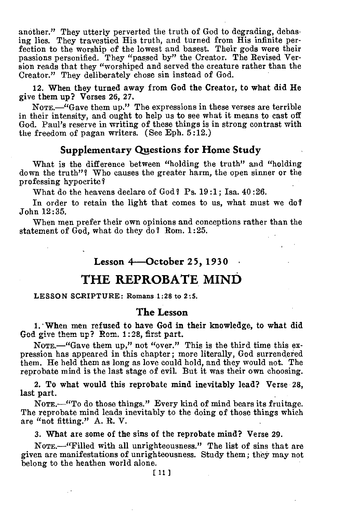another." They utterly perverted the truth of God to degrading, debasing lies. They travestied His truth, and turned from His infinite perfection to the worship of the lowest and basest. Their gods were their passions personified. They "passed by" the Creator. The Revised Version reads that they "worshiped and served the creature rather than the Creator." They deliberately chose sin instead of God.

12. When they turned away from God the Creator, to what did He give them up? Verses 26, 27.

NOTE.—"Gave them up." The expressions in these verses are terrible in their intensity, and ought to help us to see what it means to cast off God. Paul's reserve in writing of these things is in strong contrast with the freedom of pagan writers. (See Eph. 5:12.)

#### **Supplementary Questions for Home Study**

What is the difference between "holding the truth" and "holding down the truth"? Who causes the greater harm, the open sinner or the professing hypocrite?

What do the heavens declare of God? Ps. 19:1: Isa. 40:26.

In order to retain the light that comes to us, what must we do? John 12:35.

When men prefer their own opinions and conceptions rather than the statement of God, what do they do? Rom. 1:25.

## **Lesson 4—October 25, 1930**

## **THE REPROBATE MIND**

#### LESSON SCRIPTURE: Romans 1:28 to 2:5.

#### **The Lesson**

1. • When men refused to have God in their knowledge, to what did God give them up? Rom. 1:28, first part.

NOTE.—"Gave them up," not "over." This is the third time this expression has appeared in this chapter; more literally, God surrendered them. He held them as long as love could hold, and they would not. The reprobate mind is the last stage of evil. But it was their own choosing.

2. To what would this reprobate mind inevitably lead? Verse 28, last part.

NOTE.—"To do those things." Every kind of mind bears its fruitage. The reprobate mind leads inevitably to the doing of those things which are "not fitting." A. R. V.

3. What are some of the sins of the reprobate mind? Verse 29.

NOTE.—"Filled with all unrighteousness." The list of sins that are given are manifestations of unrighteousness. Study them; they may not belong to the heathen world alone.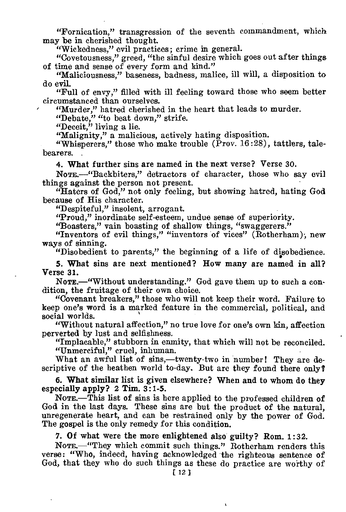"Fornication," transgression of the seventh commandment, which may be in cherished thought.

"Wickedness," evil practices; crime in general.

"Covetousness," greed, "the sinful desire which goes out after things of time and sense of every form and kind."

"Maliciousness," baseness, badness, malice, ill will, a disposition to do evil.

"Full of envy," filled with ill feeling toward those who seem better circumstanced than ourselves.

"Murder," hatred cherished in the heart that leads to murder.

"Debate," "to beat down," strife.

"Deceit," living a lie.

"Malignity," a malicious, actively hating disposition.

"Whisperers," those who make trouble ( $\overline{P}$ rov. 16:28), tattlers, talebearers.

4. What further sins are named in the next verse? Verse 30.

NOTE. "Backbiters," detractors of character, those who say evil things against the person not present.

"Haters of God," not only feeling, but showing hatred, hating God because of His character.

"Despiteful," insolent, arrogant.

"Proud," inordinate self-esteem, undue sense of superiority.

"Boasters," vain boasting of shallow things, "swaggerers."

"Inventors of evil things," "inventors of vices" (Rotherham); new ways of sinning.

"Disobedient to parents," the beginning of a life of disobedience.

5. What sins are next mentioned? How many are named in all? Verse 31.

NOTE.—"Without understanding." God gave them up to such a condition, the fruitage of their own choice.

"Covenant breakers," those who will not keep their word. Failure to keep one's word is a marked feature in the commercial, political, and social worlds.

"Without natural affection," no true love for one's own kin, affection perverted by lust and selfishness.

"Implacable," stubborn in enmity, that which will not be reconciled. "Unmerciful," cruel, inhuman.

What an awful list of sins,—twenty-two in number! They are descriptive of the heathen world to-day. But are they found there only?

6. What similar list is given elsewhere? When and to whom do they especially apply? 2 Tim. 3:1-5.

NOTE.—This list of sins is here applied to the professed children of God in the last days. These sins are but the product of the natural, unregenerate heart, and can be restrained only by the power of God. The gospel is the only remedy for this condition.

7. Of what were the more enlightened also guilty? Rom. 1:32.

NOTE.—"They which commit such things." Rotherham renders this verse: "Who, indeed, having acknowledged the righteous sentence of God, that they who do such things as these do practice are woithy of

ï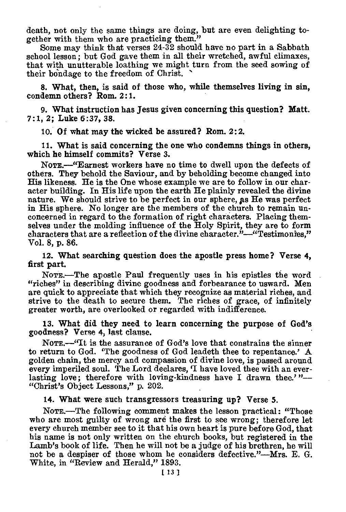death, not only the same things are doing, but are even delighting together with them who are practicing them."

Some may think that verses 24-32 should have no part in a Sabbath school lesson; but God gave them in all their wretched, awful climaxes, that with unutterable loathing we might turn from the seed sowing of their bondage to the freedom of Christ.

8. What, then, is said of those who, while themselves living in sin, condemn others? Rom. 2:1.

9. What instruction has Jesus given concerning this question? Matt. 7:1, 2; Luke 6:37, 38.

10. Of what may the wicked be assured? Rom. 2:2.

11. What is said concerning the one who condemns things in others, which he himself commits? Verse 3.

NOTE.—"Earnest workers have no time to dwell upon the defects of others. They behold the Saviour, and by beholding become changed into His likeness. He is the One whose example we are to follow in our character building. In His life upon the earth He plainly revealed the divine nature. We should strive to be perfect in our sphere, as He was perfect in His sphere. No longer are the members of the church to remain unconcerned in regard to the formation of right characters. Placing themselves under the molding influence of the Holy Spirit, they are to form characters that are a reflection of the divine character."—"Testimonies," Vol. 8, p. 86.

12. What searching question does the apostle press home? Verse 4, first part.

NOTE.—The apostle Paul frequently uses in his epistles the word "riches" in describing divine goodness and forbearance to usward. Men are quick to appreciate that which they recognize as material riches, and strive to the death to secure them. The riches of grace, of infinitely greater worth, are overlooked or regarded with indifference.

13. What did they need to learn concerning the purpose of God's goodness? Verse 4, last clause.

NoTE.—"It is the assurance of God's love that constrains the sinner to return to God. 'The goodness of God leadeth thee to repentance.' A golden chain, the mercy and compassion of divine love, is passed around every imperiled soul. The Lord declares, 'I have loved thee with an everlasting love; therefore with loving-kindness have I drawn thee.'"-"Christ's Object Lessons," p. 202.

14. What were such transgressors treasuring up? Verse 5.

NOTE.—The following comment makes the lesson practical: "Those who are most guilty of wrong are the first to see wrong; therefore let every church member see to it that his own heart is pure before God, that his name is not only written on the church books, but registered in the Lamb's book of life. Then he will not be a judge of his brethren, he will not be a despiser of those whom he considers defective."—Mrs. E. G. White, in "Review and Herald," 1893.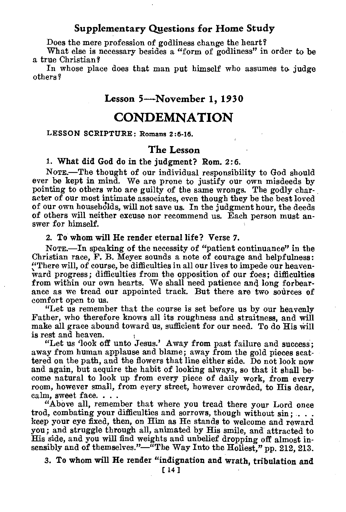#### **Supplementary Questions for Home Study**

Does the mere profession of godliness change the heart?

What else is necessary besides a "form of godliness" in order to be a true Christian?

In whose place does that man put himself who assumes to judge others

## **Lesson 5—November 1, 1930**

## **CONDEMNATION**

LESSON SCRIPTURE: Romans 2:6-16.

## **The Lesson**

**1. What did God do in the judgment? Rom. 2:6.** 

NoTE.—The thought of our individual responsibility to God should ever be **kept in** mind. We are prone to justify our own misdeeds by pointing to others who are guilty of the same wrongs. The godly character of our most intimate associates, even though they be the best loved of our own households, will not save us. In the judgment hour, the deeds of others will neither excuse nor recommend us. Each person must answer for himself.

#### **2. To whom will He render eternal life? Verse 7.**

NOTE.—In speaking of the necessity of "patient continuance" in the Christian race, F. B. Meyer sounds a note of courage and helpfulness: "There will, of course, be difficulties in all our lives to impede our heavenward progress; difficulties from the opposition of our foes; difficulties from within our own hearts. We shall need patience and long forbearance as we tread our appointed track. But there are two sources of comfort open to us.

"Let us remember that the course is set before us by our heavenly Father, who therefore knows all its roughness and straitness, and will make all grace abound toward us, sufficient for our need. To do His will is rest and heaven.

"Let us 'look off unto Jesus.' Away from past failure and success; away from human applause and blame; away from the gold pieces scattered on the path, and the flowers that line either side. Do not look now and again, but acquire the habit of looking always, so that it shall become natural to look up from every piece of daily work, from every room, however small, from every street, however crowded, to His dear, calm, sweet face. . .

"Above all, remember that where you tread there your Lord once trod, combating your difficulties and sorrows, though without sin: . . . keep your eye fixed, then, on Him as He stands to welcome and reward you; and struggle through all, animated by His smile, and attracted to His side, and you will find weights and unbelief dropping off almost insensibly and of themselves."—"The Way Into the Holiest," pp. 212, 213.

**3. To whom will He render "indignation and wrath, tribulation and**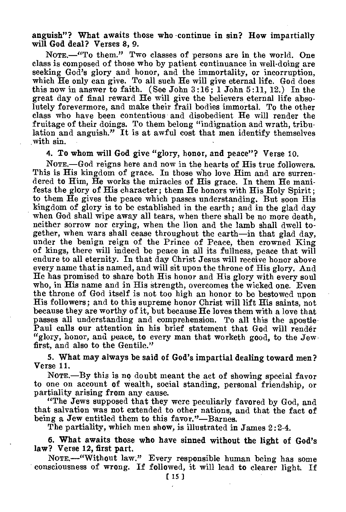anguish"? What awaits those who -continue in sin? How impartially will God deal? Verses 8, 9.

NOTE.—"To them." Two classes of persons are in the world. One class is composed of those who by patient continuance in well-doing are seeking God's glory and honor, and the immortality, or incorruption, which He only can give. To all such He will give eternal life. God does this now in answer to faith. (See John 3:16; 1 John 5:11, 12.) In the great day of final reward He will give the believers eternal life absolutely forevermore, and make their frail bodies immortal. To the other class who have been contentious and disobedient He will render the fruitage of their doings. To them belong "indignation and wrath, tribulation and anguish." It is at awful cost that men identify themselves with sin.

4. To whom will God give "glory, honor, and peace"? Verse 10.

NOTE.—God reigns here and now in the hearts of His true followers. This is His kingdom of grace. In those Who love Him and are surrendered to Him, He works the miracles of His grace. In them He manifests the glory of His character; them He honors with His Holy Spirit; to them He gives the peace which passes understanding. But soon His kingdom of glory is to be established in the earth; and in the glad day when God shall wipe away all tears, when there shall be no more death, neither sorrow nor crying, when the lion and the lamb shall dwell together, when wars shall cease throughout the earth—in that glad day, under the benign reign of the Prince of Peace, then crowned King of kings, there will indeed be peace in all its fullness, peace that will endure to all eternity. In that day Christ Jesus will receive honor above every name that is named, and will sit upon the throne of His glory. And He has promised to share both His honor and His glory with every soul who, in His name and in His strength, overcomes the wicked one. Even the throne of God itself is not too high an honor to be bestowed upon His followers; and to this supreme honor Christ will lift His saints, not because they are worthy of it, but because He loves them with a love that passes all understanding and comprehension. To all this the apostle-Paul calls our attention in his brief statement that God will render "glory, honor, and peace, to every man that worketh good, to the Jew first, and also to the Gentile."

5. What may always be said of God's impartial dealing toward men? Verse 11.

NOTE.—By this is no doubt meant the act of showing special favor to one on account of wealth, social standing, personal friendship, or partiality arising from any cause.

"The Jews supposed that they were peculiarly favored by God, and that salvation was not extended to other nations, and that the fact of being a Jew entitled them to this favor."—Barnes.

The partiality, which men show, is illustrated in James 2:2-4.

6. What awaits those who have sinned without the light of God's law? Verse 12, first part.

NOTE.—"Without law." Every responsible human being has some consciousness of wrong. If followed, it will lead to clearer light. If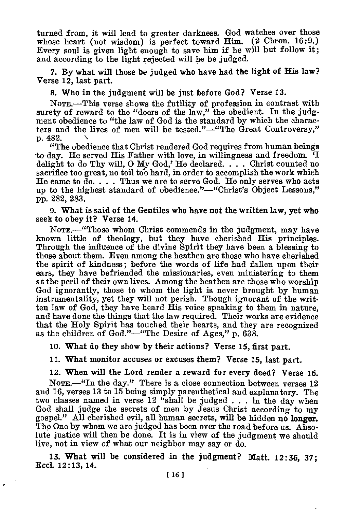turned from, it will lead to greater darkness. God watches over those whose heart (not wisdom) is perfect toward Him. (2 Chron. 16:9.) Every soul is given light enough to save him if he will but follow it; and according to the light rejected will he be judged.

7. By what will those be judged who have had the light of His law? Verse 12, last part.

8. Who in the judgment will be just before God? Verse 13.

NOTE.—This verse shows the futility of profession in contrast with surety of reward to the "doers of the law," the obedient. In the judgment obedience to "the law of God is the standard by which the characters and the lives of men will be tested."—"The Great Controversy," p. 482.

"The obedience that Christ rendered God requires from human beings to-day. He served His Father with love, in willingness and freedom. delight to do Thy will, O My God,' He declared. . . . Christ counted no sacrifice too great, no toil too hard, in order to accomplish the work which He came to do. . . . Thus we are to serve God. He only serves who acts up to the highest standard of obedience."—"Christ's Object Lessons," pp. 282, 283.

9. What is said of the Gentiles who have not the written law, yet who seek to obey it? Verse 14.

NOTE.—"Those whom Christ commends in the judgment, may have known little of theology, but they have cherished His principles. Through the influence of the divine Spirit they have been a blessing to those about them. Even among the heathen are those who have cherished the spirit of kindness; before the words of life had fallen upon their ears, they have befriended the missionaries, even ministering to them at the peril of their own lives. Among the heathen are those who worship God ignorantly, those to whom the light is never brought by human instrumentality, yet they will not perish. Though ignorant of the written law of God, they have heard His voice speaking to them in nature, and have done the things that the law required. Their works are evidence that the Holy Spirit has touched their hearts, and they are recognized as the children of God."—"The Desire of Ages," p. 638.

10. What do they show by their actions? Verse 15, first part.

11. What monitor accuses or excuses them? Verse 15, last part.

12. When will the Lord render a reward for every deed? Verse 16.

NOTE.—"In the day." There is a close connection between verses 12 and 16, verses 13 to 15 being simply parenthetical and explanatory. The two classes named in verse 12 "shall be judged . . . in the day when God shall judge the secrets of men by Jesus Christ according to my gospel." All cherished evil, all human secrets, will be hidden no **longer.**  The One by whom we are judged has been over the road before us. Absolute justice will then be done. It is in view of the judgment we should live, not in view of what our neighbor may say or do.

13. What will be considered in the judgment? Matt. 12:36, 37; EccL 12:13, 14.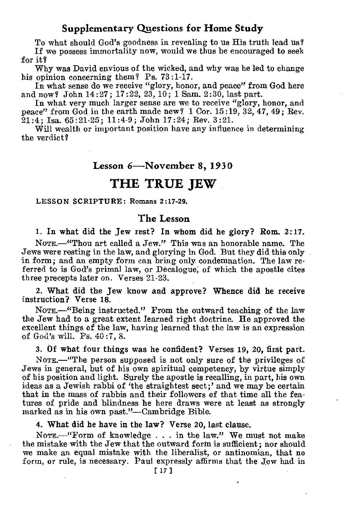## **Supplementary Questions for Home Study**

To what should God's goodness in revealing to us His truth lead us? If we possess immortality now, would we thus be encouraged to seek for it?

Why was David envious of the wicked, and why was he led to change his opinion concerning them? Ps. 73:1-17.

In what sense do we receive "glory, honor, and peace" from God here and now? John 14:27; 17:22, 23, 10; 1 Sam. 2:30, last part.

In what very much larger sense are we to receive "glory, honor, and peace" from God in the earth made new?  $1 \text{ Cor. } 15:19, 32, 47, 49$ ; Rev.  $21:4:$  Isa.,  $65:21:25:$   $11:4.9:$  John  $17:24:$  Rev.  $3:21.$ 

Will wealth or important position have any influence in determining the verdict?

#### **Lesson 6—November 8, 1930**

## **THE TRUE JEW**

#### LESSON SCRIPTURE: Romans 2:17-29.

#### **The Lesson**

1. In what did the Jew rest? In whom did he glory? Rom. 2:17.

NOTE.—"Thou art called a Jew." This was an honorable name. The Jews were resting in the law, and glorying in God. But they did this only in form; and an empty form can bring only condemnation. The law referred to is God's primal law, or Decalogue; of which the apostle cites three precepts later on. Verses 21-23.

2. What did the Jew know and approve? Whence did he receive instruction? Verse 18.

NomE.—"Being instructed." From the outward teaching of the law the Jew had to a great extent learned right doctrine. He approved the excellent things of the law, having learned that the law is an expression of God's will. Ps. 40:7, 8.

3. Of what four things was he confident? Verses 19, 20, first part. NomE.—"The person supposed is not only sure of the privileges of Jews in general, but of his own spiritual competency, by virtue simply of his position and light. Surely the apostle is recalling, in part, his own ideas as a Jewish rabbi of 'the straightest sect;' and we may be certain that in the mass of rabbis and their followers of that time all the features of pride and blindness he here draws were at least as strongly marked as in his own past."—Cambridge Bible.

4. What did he have in the law? Verse 20, last clause.

NOTE.—"Form of knowledge . . . in the law." We must not make the mistake with the Jew that the outward form is sufficient; nor should we make an equal mistake with the liberalist, or antinomian, that no form, or rule, is necessary. Paul expressly affirms that the Jew had in

è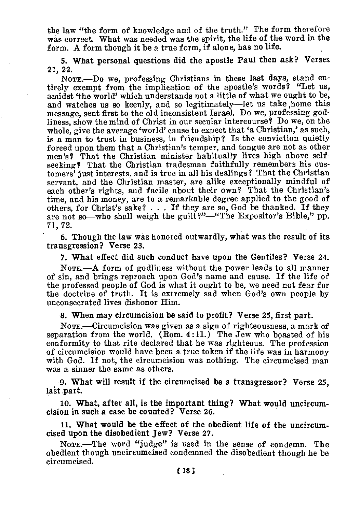the law "the form of knowledge and of the truth." The form therefore was correct. What was needed was the spirit, the life of the word in the form. A form though it be a true form, if alone, has no life.

5. 'What personal questions did the apostle Paul then ask? Verses 21, 22.

NoTE.—Do we, professing Christians in these last days, stand entirely exempt from the implication of the apostle's words? "Let us, amidst 'the world' which understands not a little of what we ought to be, and watches us so keenly, and so legitimately—let us take, home this message, sent first to the old inconsistent Israel. Do we, professing godliness, show the mind of Christ in our secular intercourse? Do we, on the whole, give the average 'world' cause to expect that 'a Christian,' as such, is a man to trust in business, in friendship? Is the conviction quietly forced upon them that a Christian's temper, and tongue are not as other men's? That the Christian minister habitually lives high above selfseeking? That the Christian tradesman faithfully remembers his customers' just interests, and is true in all his dealings? That the Christian servant, and the Christian master, are alike exceptionally mindful of each other's rights, and facile about their own? That the Christian's time, and his money, are to a remarkable degree applied to the good of others, for Christ's sake? . . . If they are so, God be thanked. If they are not so—who shall weigh the guilt?"-"The Expositor's Bible." pp. 71, 72.

6. Though the law was honored outwardly, what was the result of its transgression? Verse 23.

7. What effect did such conduct have upon the Gentiles? Verse 24.

NOTE.—A form of godliness without the power leads to all manner of sin, and brings reproach upon God's name and cause. If the life of the professed people of God is what it ought to be, we need not fear for the doctrine of truth. It is extremely sad when God's own people by unconsecrated lives dishonor Him.

8. When may circumcision be said to profit? Verse 25, first part.

NoTE.—Circumcision was given as a sign of righteousness, a mark of separation from the world. (Rom.  $4:11$ .) The Jew who boasted of his conformity to that rite declared that he was righteous. The profession of circumcision would have been a true token if the life was in harmony with God. If not, the circumcision was nothing. The circumcised man was a sinner the same as others.

9. What will result if the circumcised be a transgressor? Verse 25, last part.

10. What, after all, is the important thing? What would uncircumcision in such a case be counted? Verse 26.

11. Mat would be the effect of the obedient life of the uncircumcised upon the disobedient Jew? Verse 27.

NOTE.—The word "judge" is used in the sense of condemn. The obedient though uncircumcised condemned the disobedient though he be circumcised.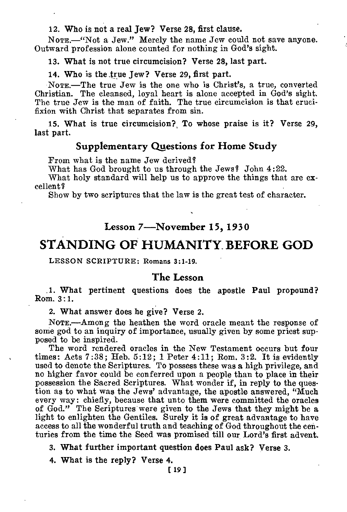12. Who is not a real Jew? Verse 28, first clause.

NOTE.—"Not a Jew." Merely the name Jew could not save anyone. Outward profession alone counted for nothing in God's sight.

13. What is not true circumcision? Verse 28, last part.

14. Who is the true Tew? Verse 29, first part.

NOTE.—The true Jew is the one who is Christ's, a true, converted Christian. The cleansed, loyal heart is alone accepted in God's sight. The true Jew is the man of faith. The true circumcision is that crucifixion with Christ that separates from sin.

**15. What is true circumcision?, To whose praise is it? Verse 29, last part.** 

## **Supplementary Questions for Home Study**

From what is the name Jew derived?

What has God brought to us through the Jews? John 4:22.

What holy standard will help us to approve the things that are excellent I

Show by two scriptures that the law is the great test of character.

## **Lesson 7—November 15, 1930**

## **STANDING OF HUMANITY\_ BEFORE GOD**

LESSON SCRIPTURE: Romans 3:1-19.

#### **The Lesson**

**1. What pertinent questions does the apostle Paul propound? Rom. 3 : 1.** 

**2. What answer does he give? Verse 2.** 

**NOTE.—Among** the heathen the word oracle meant the response of some god to an inquiry of importance, usually given by some priest supposed to be inspired.

The word rendered oracles in the New Testament occurs but four times: Acts 7:38; Heb. 5:12; 1 Peter 4:11; Rom. 3:2. It is evidently used to denote the Scriptures. To possess these was **a** high privilege, and no higher favor could be conferred upon a people than to place in their possession the Sacred Scriptures. What wonder if, in reply to the question as to what was the Jews' advantage, the apostle answered, "Much every way: chiefly, because that unto them were committed the oracles of God." The Scriptures were given to the Jews that they might be a light to enlighten the Gentiles. Surely it is of great advantage to have access to all the wonderful truth and teaching of God throughout the centuries from the time the Seed was promised till our Lord's first advent.

**3. What further important question does Paul ask? Verse 3.** 

**4. What is the reply? Verse 4.** [ **<sup>19</sup>** ]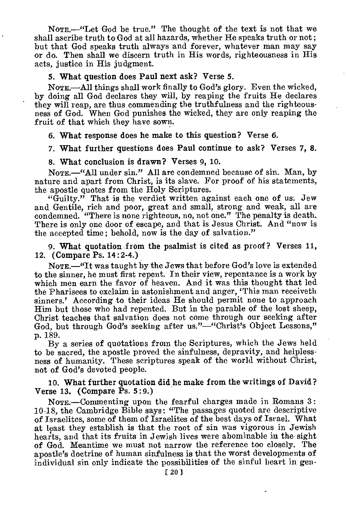NoTE.—"Let God be true." The thought of the text is not that we shall ascribe truth to God at all hazards, whether He speaks truth or not ; but that God speaks truth always and forever, whatever man may say or do. Then shall we discern truth in His words, righteousness in His acts, justice in His judgment.

#### 5. What question does Paul next ask? Verse 5.

NoTE.—All things shall work finally to God's glory. Even the wicked, by doing all God declares they will, by reaping the fruits He declares they will reap, are thus commending the truthfulness and the righteousness of God. When God punishes the wicked, they are only reaping the fruit of that which they have sown.

6. What response does he make to this question? Verse 6.

7. What further questions does Paul continue to ask? Verses 7, 8.

#### 8. What conclusion is drawn? Verses 9, 10.

NoTE.—"All under sin." All are condemned because of sin. Man, by nature and apart from Christ, is its slave. For proof of his statements, the apostle quotes from the Holy Scriptures.

"Guilty." That is the verdict written against each one of us. Jew and Gentile, rich and poor, great and small, strong and weak, all are condemned. "There is none righteous, no, not one." The penalty is death. There is only one door of escape, and that is Jesus Christ. And "now is the accepted time; behold, now is the day of salvation."

9. What quotation from the psalmist is cited as proof? Verses 11, 12. (Compare Ps. 14:2-4.)

NoTE.—"It was taught by the Jews that before God's love is extended to the sinner, he must first repent. In their view, repentance is a work by which men earn the favor of heaven. And it was this thought that led the Pharisees to exclaim in astonishment and anger, 'This man receiveth sinners.' According to their ideas He should permit none to approach Him but those who had repented. But in the parable of the lost sheep, Christ teaches that salvation does not come through our seeking after God, but through God's seeking after us."—"Christ's Object Lessons," p. 189.

By a series of quotations from the Scriptures, which the Jews held to be sacred, the apostle proved the sinfulness, depravity, and helplessness of humanity. These scriptures speak of the world without Christ, not of God's devoted people.

#### 10. What further quotation did he make from the writings of David? Verse 13. (Compare Ps. 5:9.)

NOTE.—Commenting upon the fearful charges made in Romans 3: 10-18, the Cambridge Bible says: "The passages quoted are descriptive of Israelites, some of them of Israelites of the best days of Israel. What at least they establish is that the root of sin was vigorous in Jewish hearts, and that its fruits in Jewish lives were abominable in the sight of God. Meantime we must not narrow the reference too closely. The apostle's doctrine of human sinfulness is that the worst developments of individual sin only indicate the possibilities of the sinful heart in gen-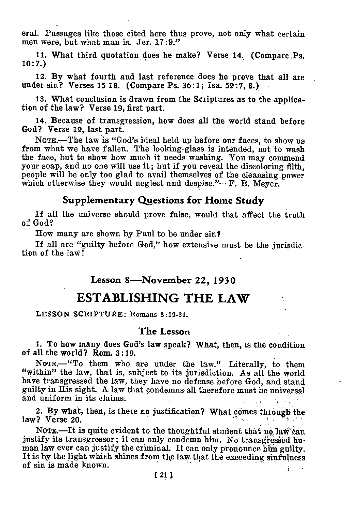eral. Passages like those cited here thus prove, not only what certain men were, but what man is. Jer. 17:9."

11. What third quotation does he make? Verse 14. (Compare ,Ps. 10:7.)

12. By what fourth and last reference does he prove that all are under sin? Verses 15-18. (Compare Ps. 36:1; Isa, 59:7, 8.)

13. What conclusion is drawn from the Scriptures as to the application of the law? Verse 19, first part.

14. Because of transgression, how does all the world stand before God? Verse 19, last part.

NOTE.—The law is "God's ideal held up before our faces, to show us from what we have fallen. The looking-glass is intended, not to wash the face, but to show how much it needs washing. You may commend your soap, and no one will use it; but if you reveal the discoloring filth, people will be only too glad to avail themselves of the cleansing power which otherwise they would neglect and despise."—F. B. Meyer.

## **Supplementary Questions for Home Study**

If all the universe should prove false, would that affect the truth of God?

How many are shown by Paul to be under sin?

If all are "guilty before God," how extensive must be the jurisdiction of the law!

## **Lesson 8'—November 22, 1930**

## **ESTABLISHING THE LAW**

LESSON SCRIPTURE: Romans 3:19-31.

#### **The Lesson**

1. To how many does God's law speak? What, then, is the condition of all the world? Rom. 3:19.

NoTE.—"To them who are under the law." Literally, to them "within" the law, that is, subject to its jurisdiction. As all the world have transgressed the law, they have no defense before God, and stand guilty in His sight. A law that condemns all therefore must be universal and uniform in its claims.

2. By what, then, is there no justification? What comes through the law? Verse 20.

NOTE. It is quite evident to the thoughtful student that no law can justify its transgressor; it can only condemn him. No transgressed human law ever can justify the criminal. It can only pronounce him guilty. It is by the light which shines from the law that the exceeding sinfulness of sin is made known. da se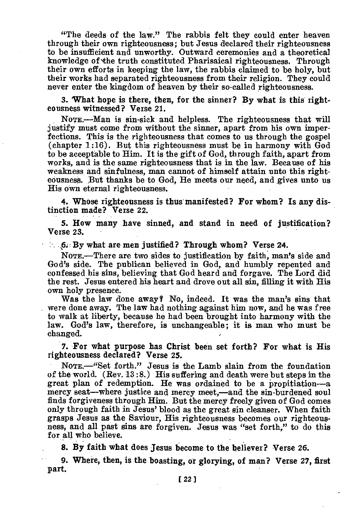"The deeds of the law." The rabbis felt they could enter heaven through their own righteousness; but Jesus declared their righteousness to be insufficient and unworthy. Outward ceremonies and a theoretical knowledge of the truth constituted Pharisaical righteousness. Through their own efforts in keeping the law, the rabbis claimed to be holy, but their works had separated righteousness from their religion. They could never enter the kingdom of heaven by their so-called righteousness.

3. 'What hope is there, then, for the sinner? By what is this righteousness witnessed? Verse 21.

NOTE.—Man is sin-sick and helpless. The righteousness that will justify must come from without the sinner, apart from his own imperfections. This is the righteousness that comes to us through the gospel (chapter 1:16). But this righteousness must be in harmony with God to be acceptable to Him. It is the gift of God, through faith, apart from works, and is the same righteousness that is in the law. Because of his weakness and sinfulness, man cannot of himself attain unto this righteousness. But thanks be to God, He meets our need, and gives unto us His own eternal righteousness.

4. Whose righteousness is thus manifested? For whom? Is any distinction made? Verse 22.

5. How many have sinned, and stand in need of justification? Verse 23.

 $\therefore$  6. By what are men justified? Through whom? Verse 24.

NOTE.—There are two sides to justification by faith, man's side and God's side. The publican believed in God, and humbly repented and confessed his sins, believing that God heard and forgave. The Lord did the rest. Jesus entered his heart and drove out all sin, filling it with His own holy presence.

Was the law done away? No, indeed. It was the man's sins that were done away. The law had nothing against him now, and he was free to walk at liberty, because he had been brought into harmony with the law. God's law, therefore, is unchangeable; it is man who must be changed.

7. For what purpose has Christ been set forth? For what is His righteousness declared? Verse 25.

NoTE.—"Set forth." Jesus is the Lamb slain from the foundation of the world. (Rev. 13 :8.) His suffering and death were but steps in the great plan of redemption. He was ordained to be a propitiation—a mercy seat—where justice and mercy meet,—and the sin-burdened soul finds forgiveness through Him. But the mercy freely given of God comes only through faith in Jesus' blood as the great sin cleanser. When faith grasps Jesus as the Saviour, His righteousness becomes our righteousness, and all past sins are forgiven. Jesus was "set forth," to do this for all who believe.

**8. By faith what does Jesus become to the believer? Verse 26.** 

**9. Where, then, is the boasting, or glorying, of man? Verse 27, first part.**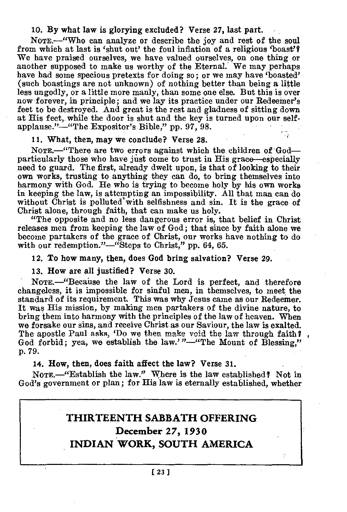#### 10. By what law is glorying excluded? Verse 27, last part.

NoTE.—"Who can analyze or describe the joy and rest of the soul from which at last is 'shut out' the foul inflation of a religious 'boast's We have praised ourselves, we have valued ourselves, on one thing or another supposed to make us worthy of the Eternal. We may perhaps have had some specious pretexts for doing so; or we may have 'boasted' (such boastings are not unknown) of nothing better than being a little less ungodly, or a little more manly, than some one else. But this is over now forever, in principle; and we lay its practice under our Redeemer's feet to be destroyed. And great is the rest and gladness of sitting down at His feet, while the door is shut and the key is turned upon our selfapplause."—"The Expositor's Bible," pp. 97, 98.

#### 11. What, then, may we conclude? Verse 28.

NOTE.—"There are two errors against which the children of God particularly those who have just come to trust in His grace—especially need to guard. The first, already dwelt upon, is that of looking to their own works, trusting to anything they can do, to bring themselves into harmony with God. He who is trying to become holy by his own works in keeping the law, is attempting an impossibility. All that man can do without Christ is polluted' with selfishness and sin. It is the grace of Christ alone, through faith, that can make us holy.

"The opposite and no less dangerous error is, that belief in. Christ releases men from keeping the law of God; that since by faith alone we become partakers of the grace of Christ, our works have nothing to do with our redemption."—"Steps to Christ," pp. 64, 65.

#### 12. To how many, then, does God bring salvation? Verse 29.

#### 13. How are all justified? Verse 30.

NOTE.—"Becaiise the law of the Lord is perfect, and therefore changeless, it is impossible for sinful men, in themselves, to meet the standard of its requirement. This was why Jesus came as our Redeemer. It was His mission, by making men partakers of the divine nature, to bring them into harmony with the principles of the law of heaven. When we forsake our sins, and receive Christ as our Saviour, the law is exalted. The apostle Paul asks, 'Do we then make void the law through faith? God forbid; yea, we establish the law.'"—"The Mount of Blessing." p. 79.

#### 14. How, then, does faith affect the law? Verse 31.

NOTE.—"Establish the law." Where is the law established? Not in God's government or plan; for His law is eternally established, whether

## **THIRTEENTH SABBATH OFFERING December 27, 1930 INDIAN WORK, SOUTH AMERICA**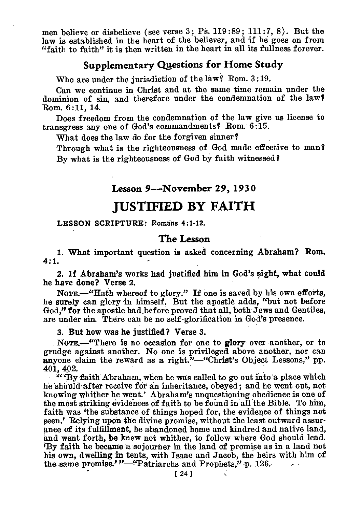men believe or disbelieve (see verse 3; Ps. 119:89; 111:7, 8). But the law is established in the heart of the believer, and if he goes on from "faith to faith" it is then written in the heart in all its fullness forever.

## **Supplementary Questions for Home Study**

Who are under the jurisdiction of the law? Rom. 3:19.

Can we continue in Christ and at the same time remain under the dominion of sin, and therefore under the condemnation of the law? Rom. 6:11, 14.

Does freedom from the condemnation of the law give us license to transgress any one of God's commandments? Rom. 6:15.

What does the law do for the forgiven sinner?

Through what is the righteousness of God made effective to man? By what is the righteousness of God by faith witnessed?

## **Lesson 9—November 29, 1930**

## **JUSTIFIED BY FAITH**

#### **LESSON SCRIPTURE: Romans 4:1-12.**

#### **The Lesson**

1. What important question is asked concerning Abraham? Rom. **4:1.** 

2. If Abraham's works had justified him in God's sight, what could he have done? Verse 2.

NOTE.—"Hath whereof to glory." If one is saved by his own efforts, he surely can glory in himself. But the apostle adds, "but not before God," for the apostle had before proved that all, both Jews and Gentiles, are under sin. There can be no self-glorification in God's presence.

3. But how was he justified? Verse 3.

NOTE.<sup>4</sup>There is no occasion for one to glory over another, or to grudge against another. No one is privileged above another, nor can anyone claim the reward as a right."—"Christ's Object Lessons," pp. 401, 402.

"'By faith Abraham, when he was called to go out into'a place which he should after receive for an inheritance, obeyed ; and he went out, not knowing whither he went.' Abraham's unquestioning obedience is one of the most striking evidences of faith to be found in all the Bible. To him, faith was 'the substance of things hoped for, the evidence of things not seen.' Relying upon the divine promise, without the least outward assurance of its fulfillment, he abandoned home and kindred and native land, and went forth, **he** knew not whither, to follow where God should lead. 'By faith he became a sojourner in the land of promise as in a land not his own, dwelling in tents, with Isaac and Jacob, the heirs with him of the-same promise.'"-"Patriarchs and Prophets," p. 126.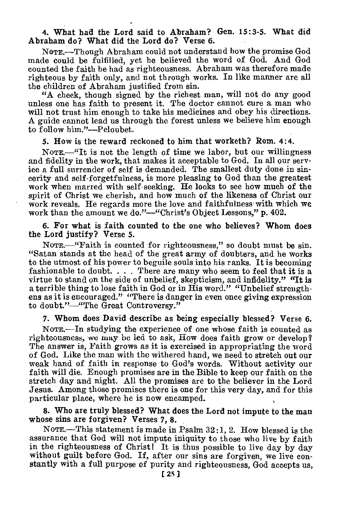4. What had the Lord said to Abraham? Gen. 15:3-5. What did Abraham do? What did the Lord do? Verse 6.

NOTE.—Though Abraham could not understand how the promise God made could be fulfilled, yet he believed the word of God. And God counted the faith he had as righteousness. Abraham was therefore made righteous by faith only, and not through works. In like manner are all the children of Abraham justified from sin.

"A check, though signed by the richest man, will not do any good unless one has faith to present it. The doctor cannot cure a man who will not trust him enough to take his medicines and obey his directions. A guide cannot lead us through the forest unless we believe him enough to follow him."—Peloubet.

5. How is the reward reckoned to him that worketh? Rom. 4:4.

NOTE.—"It is not the length of time we labor, but our willingness and fidelity in the work, that makes it acceptable to God. In all our service a full surrender of self is demanded. The smallest duty done in sincerity and self-forgetfulness, is more pleasing to God than the greatest work when marred with self-seeking. He looks to see how much of the spirit of Christ we cherish, and how much of the likeness of Christ our work reveals. He regards more the love and faithfulness with which we work than the amount we do."—"Christ's Object Lessons," p. 402.

6. For what is faith counted to the one who believes? Whom does the Lord justify? Verse 5.

NOTE.—"Faith is counted for righteousness," so doubt must be sin. "Satan stands at the head of the great army of doubters, and he works to the utmost of his power to beguile souls into his ranks. It is becoming fashionable to doubt.  $\dots$ . There are many who seem to feel that it is a virtue to stand on the side of unbelief, skepticism, and infidelity." "It is a terrible thing to lose faith in God or in His word." "Unbelief strengthens as it is encouraged." "There is danger in even once giving expression to doubt."—"The Great Controversy."

7. Whom does David describe as being especially blessed? Verse 6.

NoTE.—In studying the experience of one whose faith is counted as righteousness, we may be led to ask, How does faith grow or develop? The answer is, Faith grows as it is exercised in appropriating the word of God. Like the man with the withered hand, we need to stretch out our weak hand of faith in response to God's words. Without activity our faith will die. Enough promises are in the Bible to keep our faith on the stretch day and night. All the promises are to the believer in the Lord Jesus. Among those promises there is one for this very day, and for this particular place, where he is now encamped.

8. Who are truly blessed? What does the Lord not impute to the man whose sins are forgiven? Verses 7, 8.

NOTE.—This statement is made in Psalm 32:1, 2. How blessed is the assurance that God will not impute iniquity to those who live by faith in the righteousness of Christ! It is thus possible to live day by day without guilt before God. If, after our sins are forgiven, we live constantly with a full purpose of purity and righteousness, God accepts us,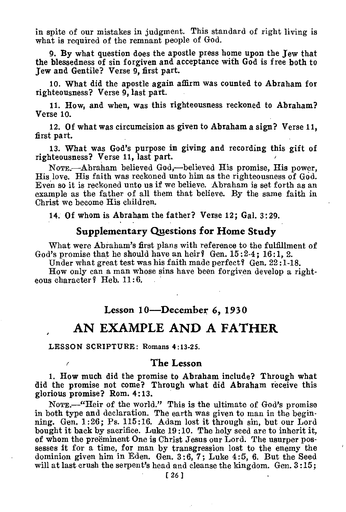in spite of our mistakes in judgment. This standard of right living is what is required of the remnant people of God.

9. By what question does the apostle press home upon the Jew that the blessedness of sin forgiven and acceptance with God is free both to Jew and Gentile? Verse 9, first part.

10. What did the apostle again affirm was counted to Abraham for righteousness? Verse 9, last part.

11. How, and when, was this righteousness reckoned to Abraham? Verse 10.

12. Of what was circumcision as given to Abraham a sign? Verse 11, first part.

13. What was God's purpose in giving and recording this gift of righteousness? Verse 11, last part.

NomE.—Abraham believed God,—believed His promise, His power, His love. His faith was reckoned unto him as the righteousness of God. Even so it is reckoned unto us if we believe. Abraham is set forth as an example as the father of all them that believe. By the same faith in Christ we become His children.

14. Of whom is Abraham the father? Verse 12; Gal. 3:29.

## **Supplementary Questions for Home Study**

What were Abraham's first plans with reference to the fulfillment of God's promise that he should have an heir? Gen. 15:2-4; 16:1, 2.

Under what great test was his faith made perfect? Gen. 22:1-18.

How only can a man whose sins have been forgiven develop a righteous character ? Heb. 11:6.

## **Lesson 10—December 6, 1930**

## **AN EXAMPLE AND A FATHER**

LESSON SCRIPTURE: Romans **4:13-25.** 

#### **The Lesson**

1. How much did the promise to Abraham include? Through what did the promise not come? Through what did Abraham receive this glorious promise? Rom. 4:13.

NomE.—"Heir of the world." This is the ultimate of God's promise in both type and declaration. The earth was given to man in the beginning. Gen. 1:26; Ps. 115:16. Adam lost it through sin, but our Lord bought it back by sacrifice. Luke 19 :10. The holy seed are to inherit it, of whom the preeminent One is Christ Jesus our Lord. The usurper possesses it for a time, for man by transgression lost to the enemy the dominion given him in Eden. Gen. 3:6, 7 ; Luke 4:5, 6. But the Seed will at last crush the serpent's head and cleanse the kingdom. Gen. 3 :15;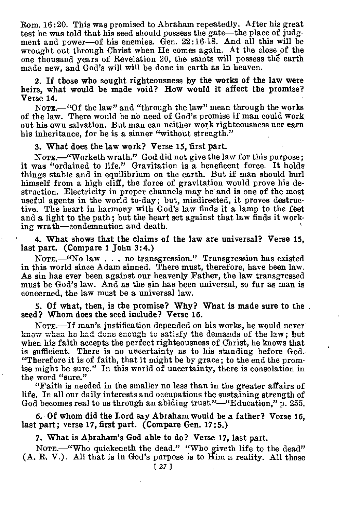Rom. 16:20. This was promised to Abraham repeatedly. After his great test he was told that his seed should possess the gate—the place of judgment and power—of his enemies. Gen. 22:16-18. And all this will be wrought out through Christ when He comes again. At the close of the one thousand years of Revelation 20, the saints will possess the earth made new, and God's will will be done in earth as in heaven.

2. If those who sought righteousness by the works of the law were heirs, what would be made void? How would it affect the promise? Verse 14.

NOTE.—"Of the law" and "through the law" mean through the works of the law. There would be no need of God's promise if man could work out his own salvation. But man can neither work righteousness nor earn his inheritance, for he is a sinner "without strength."

3. What does the law work? Verse 15, first part.

NOTE.-"Worketh wrath." God did not give the law for this purpose; it was "ordained to life." Gravitation is a beneficent force. It holds things stable and in equilibrium on the earth. But if man should hurl himself from a high cliff, the force of gravitation would prove his destruction. Electricity in proper channels may be and is one of the most useful agents in the world to-day; but, misdirected, it proves destructive. The heart in harmony with God's law finds it a lamp to the feet and a light to the path; but the heart set against that law finds it working wrath—condemnation and death.

4. What shows that the claims of the law are universal? Verse 15, last part. (Compare 1 John 3:4.)

NOTE.—"No law . . . no transgression." Transgression has existed in this world since Adam sinned. There must, therefore, have been law. As sin has ever been against our heavenly Father, the law transgressed must be God's law. And as the sin has been universal, so far as man is concerned, the law must be a universal law.

5. Of what, then, is the promise? Why? What is made sure to the. seed? Whom does the seed include? Verse 16.

NoTE.—If man's justification depended on his works, he would never know when he had done enough to satisfy the demands of the law; but when his faith accepts the perfect righteousness of Christ, he knows that is sufficient. There is no uncertainty as to his standing before God. "Therefore it is of faith, that it might be by grace ; to the end the promise might be sure." In this world of uncertainty, there is consolation in the word "sure."

"Faith is needed in the smaller no less than in the greater affairs of life. In all our daily interests and occupations the sustaining strength of God becomes real to us through an abiding trust."—"Education,"  $\bar{p}$ , 255.

6. Of whom did the Lord say Abraham would be a father? Verse 16, last part; verse 17, first part. (Compare Gen. 17:5.)

7. What is Abraham's God able to do? Verse 17, last part.

NOTE.—"Who quickeneth the dead." "Who giveth life to the dead" (A. R. V.). All that is in God's purpose is to Him a reality. All those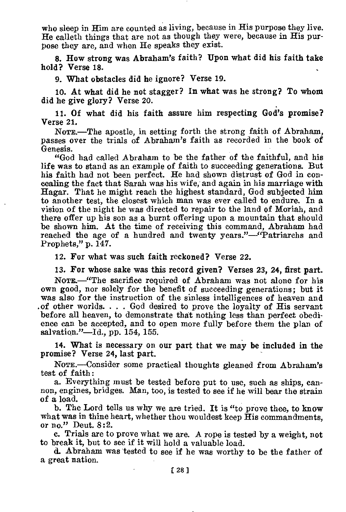who sleep in Him are counted as living, because in His purpose they live. He calleth things that are not as though they were, because in His purpose they are, and when He speaks they exist.

8. How strong was Abraham's faith? Upon what did his faith take hold? Verse 18.

9. Mat obstacles did he ignore? Verse 19.

10. At what did he not stagger? In what was he strong? To whom did he give glory? Verse 20.

11. Of what did his faith assure him respecting God's promise? Verse 21.

NOTE.—The apostle, in setting forth the strong faith of Abraham, passes over the trials of Abraham's faith as recorded in the book of Genesis.

"God had called Abraham to be the father of the faithful, and his life was to stand as an example of faith to succeeding generations. But his faith had not been perfect. He had shown distrust of God in concealing the fact that Sarah was his wife, and again in his marriage with Hagar. That he might reach the highest standard, God subjected him to another test, the closest which man was ever called to endure. In a vision of the night he was directed to repair to the land of Moriah, and there offer up his son as a burnt offering upon a mountain that should be shown him. At the time of receiving this command, Abraham had reached the age of a hundred and twenty years."—"Patriarchs and Prophets," p. 147.

12. For what was such faith reckoned? Verse 22.

13. For whose sake was this record given? Verses 23, 24, first part.

NOTE.—"The sacrifice required of Abraham was not alone for his own good, nor solely for the benefit of succeeding generations; but it was also for the instruction of the sinless intelligences of heaven and .of other worlds. . . . God desired to prove the loyalty of His servant before all heaven, to demonstrate that nothing less than perfect obedience can be accepted, and to open more fully before them the plan of salvation."—Id., pp. 154, 155.

14. What is necessary on our part that we may be included in the promise? Verse 24, last part.

NoTE.—Consider some practical thoughts gleaned from Abraham's test of faith:

a. Everything must be tested before put to use, such as ships, cannon, engines, bridges. Man, too, is tested to see if he will bear the strain of a load.

b. The Lord tells us why we are tried. It is "to prove thee, to know what was in thine heart, whether thou wouldest keep His commandments, or no." Deut. 8:2.

c. Trials are to prove what we are. A rope is tested by a weight, not to break it, but to see if it will hold a valuable load.

d. Abraham was tested to see if he was worthy to be the father of a great nation.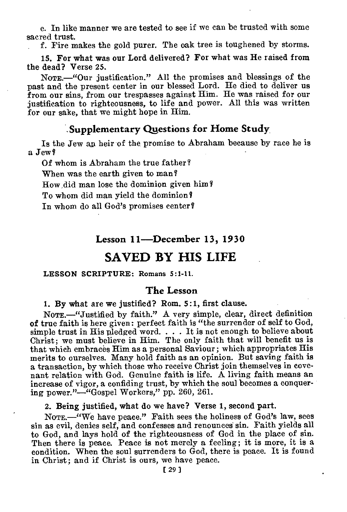e. In like manner we are tested to see if we can be trusted with some sacred trust.

f. Fire makes the gold purer. The oak tree is toughened by storms.

15. For what was our Lord delivered? For what was He raised from the dead? Verse 25.

NOTE.—"Our justification." All the promises and blessings of the past and the present center in our blessed Lord. He died to deliver us from our sins, from our trespasses against Him. He was raised for our justification to righteousness, to life and power. All this was written for our sake, that we might hope in Him.

#### **.Supplementary Questions for Home Study**,

Is the Jew an heir of the promise to Abraham because by race he is a Jew?

Of whom is Abraham the true father? When was the earth given to man? How, did man lose the dominion given him? To whom did man yield the dominion? In whom do all God's promises center?

## **Lesson 11—December 13, 1930**

## **SAVED BY HIS LIFE**

#### LESSON SCRIPTURE: Romans 5:1-11.

#### **The Lesson**

1. By what are we justified? Rom. 5:1, first clause.

NOTE.-"Justified by faith." A very simple, clear, direct definition of true faith is here given: perfect faith is "the surrender of self to God, simple trust in His pledged word. . . . It is not enough to believe about Christ; we must believe in Him. The only faith that will benefit us is that which embraces Him as a personal Saviour ; which appropriates His merits to ourselves. Many hold faith as an opinion. But saving faith is a transaction, by which those who receive Christ join themselves in covenant relation with God. Genuine faith is life. A living faith means an increase of vigor, a confiding trust, by which the soul becomes a conquering power."—"Gospel Workers," pp. 260, 261.

2. Being justified, what do we have? Verse 1, second part.

NOTE.—"We have peace." Faith sees the holiness of God's law, sees sin as evil, denies self, and confesses and renounces sin. Faith yields all to God, and lays hold of the righteousness of God in the place of sin. Then there is peace. Peace is not merely a feeling; it is more, it is a condition. When the soul surrenders to God, there is peace. It is found in Christ; and if Christ is ours, we have peace.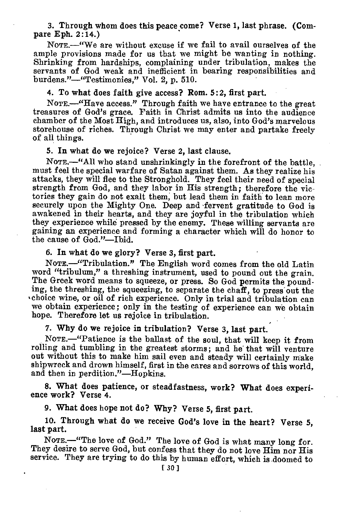3. Through whom does this peace come? Verse 1, last phrase. **(Compare** Eph. 2:14.)

NOTE.—"We are without excuse if we fail to avail ourselves of the ample provisions made for us that we might be wanting in nothing. Shrinking from hardships, complaining under tribulation, makes the servants of God weak and inefficient in bearing responsibilities and burdens."—"Testimonies," Vol. 2, p. 510.

4. To what does faith give access? Rom. 5:2, first part.

NOTE.—"Have access." Through faith we have entrance to the great treasures of God's grace. Faith in Christ admits us into the audience chamber of the Most High, and introduces us, also, into God's marvelous storehouse of riches. Through Christ we may enter and partake freely of all things.

**5. In what do we rejoice? Verse 2, last clause.** 

NOTE.—"All who stand unshrinkingly in the forefront of the battle, must feel the special warfare of Satan against them. As they realize his attacks, they will flee to the Stronghold. They feel their need of special strength from God, and they labor in His strength; therefore the victories they gain do not exalt them, but lead them in faith to lean more securely upon the Mighty One. Deep and fervent gratitude to God is awakened in their hearts, and they are joyful in the tribulation which they experience while pressed by the enemy. These willing servants are gaining an experience and forming a character which will do honor to the cause of God."—Ibid.

**6. In what do we glory? Verse 3, first part.** 

NOTE.—"Tribulation." The English word comes from the old Latin word "tribulum," a threshing instrument, used to pound out the grain. The Greek word means to squeeze, or press. So God permits the pounding, the threshing, the squeezing, to separate the chaff, to press out the choice wine, or oil of rich experience. Only in trial and tribulation can we obtain experience; only in the testing of experience can we obtain hope. Therefore let us rejoice in tribulation.

**7. Why do we rejoice in tribulation? Verse 3, last part.** 

NOTE.—"Patience is the ballast of the soul, that will keep it from rolling and tumbling in the greatest storms; and he' that will venture out without this to make him sail even and steady will certainly make shipwreck and drown himself, first in the cares and sorrows of this world, and then in perdition."—Hopkins.

**8. What does patience, or steadfastness, work? What does experience work? Verse 4.** 

**9. What does hope not do? Why? Verse 5, first part.** 

**10. Through what do we receive God's love in the heart? Verse 5, last part.** 

NOTE.<sup>-"</sup>The love of God." The love of God is what many long for. They desire to serve God, but confess that they do not love Him nor His service. They are trying to do this by human effort, which is doomed to  $1301$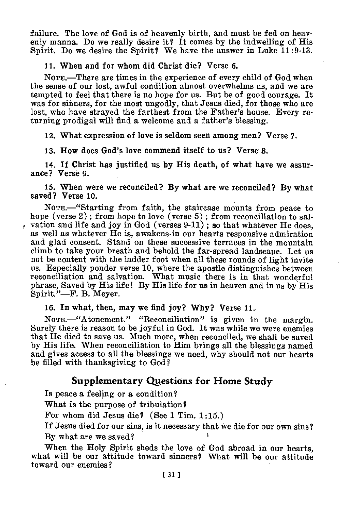failure. The love of God is of heavenly birth, and must be fed on heavenly manna. Do we really desire it? It comes by the indwelling of His Spirit. Do we desire the Spirit? We have the answer in Luke 11:9-13.

#### 11. When and for whom did Christ die? Verse 6.

NOTE.—There are times in the experience of every child of God when the sense of our lost, awful condition almost overwhelms us, and we are tempted to feel that there is no hope for us. But be of good courage. It was for sinners, for the most ungodly, that Jesus died, for those who are lost, who have strayed the farthest from the Father's house. Every returning prodigal will find a welcome and a father's blessing.

12. What expression of love is seldom seen among men? Verse 7.

13. How does God's love commend itself to us? Verse 8.

14. If Christ has justified us by His death, of what have we assurance? Verse 9.

15. When were we reconciled? By what are we reconciled? By what saved? Verse 10.

NoTE.—"Starting from faith, the staircase mounts from peace to hope (verse 2); from hope to love (verse 5); from reconciliation to salvation and life and joy in God (verses  $9-11$ ); so that whatever He does, as well as whatever He is, awakens•in our hearts responsive admiration and glad consent. Stand on these successive terraces in the mountain climb to take your breath and behold the far-spread landscape. Let us not be content with the ladder foot when all these rounds of light invite us. Especially ponder verse 10, where the apostle distinguishes between reconciliation and salvation. What music there is in that wonderful phrase, Saved by His life! By His life for us in heaven and in us by His Spirit."—F. B. Meyer.

16. In what, then, may we find joy? Why? Verse 11.

NoTE.—"Atonement." "Reconciliation" is given in the margin. Surely there is reason to be joyful in God. It was while we were enemies that He died to save us. Much more, when reconciled, we shall be saved by His life. When reconciliation to Him brings all the blessings named and gives access to all the blessings we need, why should not our hearts be filled with thanksgiving to God?

## **Supplementary Questions for Home Study**

Is peace a feeling or a condition?

What is the purpose of tribulation?

For whom did Jesus die? (See 1 Tim. 1:15.)

If Jesus died for our sins, is it necessary that we die for our own sins? By what are we saved?

When the Holy Spirit sheds the love of God abroad in our hearts, what will be our attitude toward sinners? What will be our attitude toward our enemies?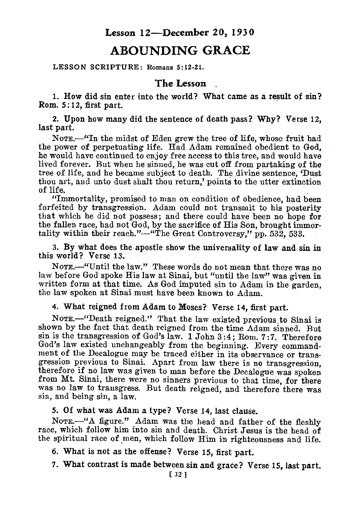## **Lesson 12—December 20, 1930**

## **ABOUNDING GRACE**

LESSON SCRIPTURE: Romans 5:12-21.

## **The Lesson**

1. How did sin enter into the world? What came as a result of sin? Rom. 5:12, first part.

2. Upon how many did the sentence of death pass? Why? Verse 12, last part.

NomE.—"In the midst of Eden grew the tree of life, whose fruit had the power of perpetuating life. Had Adam remained obedient to God, he would have continued to enjoy free access to this tree, and would have lived forever. But when he sinned, he was cut off from partaking of the tree of life, and he became subject to death. The divine sentence, 'Dust thou art, and unto dust shalt thou return,' points to the utter extinction of life.

"Immortality, promised to man on condition of obedience, had been forfeited by transgression. Adam could not transmit to his posterity that which he did not possess; and there could have been no hope for the fallen race, had not God, by the sacrifice of His Son, brought immortality within their reach."—"The Great Controversy," pp. 532, 533.

3. By what does the apostle show the universality of law and sin in this world? Verse 13.

NoTE.—"Until the law." These words do not mean that there was no law before God spoke His law at Sinai, but "until the law" was given in written form at that time. As God imputed sin to Adam in the garden, the law spoken at Sinai must have been known to Adam.

4. What reigned from Adam to Moses? Verse 14, first part.

NOTE.—"Death reigned." That the law existed previous to Sinai is shown by the fact that death reigned from the time Adam sinned. But sin is the transgression of God's law. 1 John 3 :4; Rom. 7:7. Therefore God's law existed unchangeably from the beginning. Every commandment of the Decalogue may be traced either in its observance or transgression previous to Sinai. Apart from law there is no transgression, therefore if no law was given to man before the Decalogue was spoken from Mt. Sinai, there were no sinners previous to that time, for there was no law to transgress. But death reigned, and therefore there was sin, and being sin, a law.

5. Of what was Adam a type? Verse 14, last clause.

NOTE.—"A figure." Adam was the head and father of the fleshly race, which follow him into sin and death. Christ Jesus is the head of the spiritual race of men, which follow Him in righteousness and life.

6. What is not as the offense? Verse 15, first part.

7. What contrast is made between sin and grace? Verse 15, last part.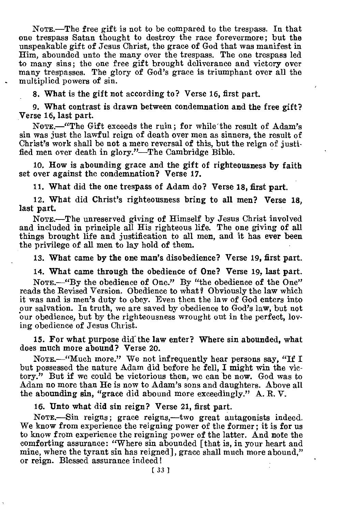NOTE.—The free gift is not to be compared to the trespass. In that one trespass Satan thought to destroy the race forevermore; but the unspeakable gift of Jesus Christ, the grace of God that was manifest in Him, abounded unto the many over the trespass. The one trespass led to many sins; the one free gift brought deliverance and victory over many trespasses. The glory of God's grace is triumphant over all the multiplied powers of sin.

8. What is the gift not according to? Verse 16, first part.

9. What contrast is drawn between condemnation and the free gift? Verse 16, last part.

NomE.—"The Gift exceeds the ruin; for while'the result of Adam's sin was just the lawful reign of death over men as sinners, the result of Christ's work shall be not a mere reversal of this, but the reign of justified men over death in glory."—The Cambridge Bible.

10. How is abounding grace and the gift of righteousness by faith set over against the condemnation? Verse 17.

11. What did the one trespass of Adam do? Verse 18, first part.

12. What did Christ's righteousness bring to all men? Verse 18, last part.

NOTE.-The unreserved giving of Himself by Jesus Christ involved and included in principle all His righteous life. The one giving of all things brought life and justification to all men, and it has ever been the privilege of all men to lay hold of them.

13. What came by the one man's disobedience? Verse 19, first part.

14. What came through the obedience of One? Verse 19, last part.

NOTE.<sup>4</sup>By the obedience of One." By "the obedience of the One" reads the Revised Version. Obedience to what? Obviously the law which it was and is men's duty to obey. Even then the law of God enters into our salvation. In truth, we are saved by obedience to God's law, but not our obedience, but by the righteousness wrought out in the perfect, loving obedience of Jesus Christ.

15. For what purpose did the law enter? Where sin abounded, what does much more abound? Verse 20.

NOTE.—"Much more." We not infrequently hear persons say, "If I but possessed the nature Adam did before he fell, I might win the victory." But if we could be victorious then, we can be now. God was to Adam no more than He is now to Adam's sons and daughters. Above all the abounding **sin,** "grace did abound more exceedingly." A. R. V.

16. Unto what did sin reign? Verse 21, first part.

NOTE.—Sin reigns; grace reigns,—two great antagonists indeed. We know from experience the reigning power of the former; it is for us to know from experience the reigning power of the latter. And note the comforting assurance: "Where sin abounded [that is, in your heart and mine, where the tyrant sin has reigned], grace shall much more abound," or reign. Blessed assurance indeed!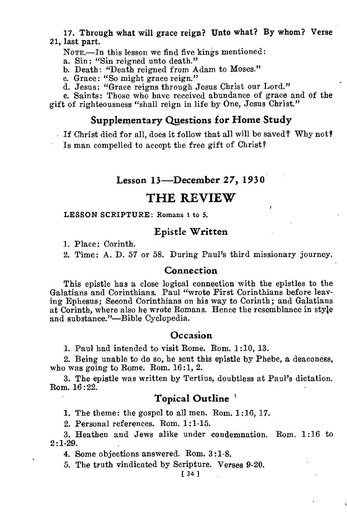#### 17. Through what will grace reign? Unto what? By whom? Verse 21, last part.

NoTE.—In this lesson we find five kings mentioned:

a. Sin: "Sin reigned unto death."

b. Death : "Death reigned from Adam to Moses."

c. Grace: "So might grace reign."

d. Jesus: "Grace reigns through Jesus Christ our Lord."

e. Saints: Those who have received abundance of grace and of the gift of righteousness "shall reign in life by One, Jesus Christ."

## Supplementary Questions for Home Study

If Christ died for all, does it follow that all will be saved? Why not? Is man compelled to accept the free gift of Christ?

#### Lesson 13—December 27, 1930

## **THE REVIEW**

LESSON SCRIPTURE: Romans 1 to 5.

#### Epistle Written

1. Place: Corinth.

2. Time: A. D. 57 or 58. During Paul's third missionary journey.

#### Connection

This epistle has a close logical connection with the epistles to the Galatians and Corinthians. Paul "wrote First Corinthians before leaving Ephesus; Second Corinthians on his way to Corinth; and Galatians at Corinth, where also he wrote Romans. Hence the resemblance in style and substance."—Bible Cyclopedia.

#### Occasion

1. Paul had intended to visit Rome. Rom. 1:10, 13.

2. Being unable to do so, he sent this epistle by Phebe, a deaconess, who was going to Rome. Rom. 16:1, 2.

3. The epistle was written by Tertius, doubtless at Paul's dictation. Rom. 16:22.

## Topical Outline '

1. The theme: the gospel to all men. Rom. 1 :16, 17.

2. Personal references. Rom. 1:1-15.

3. Heathen and Jews alike under condemnation. Rom. 1 :16 to  $2:1-29.$ 

4. Some objections answered. Rom. 3:1-8.

5. The truth vindicated by Scripture. Verses 9-20.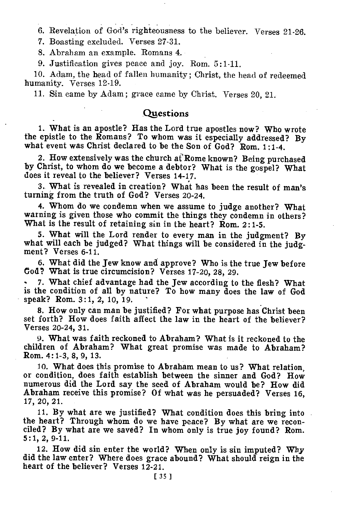6. Revelation of God's righteousness to the believer. Verses 21-26.

7. Boasting excluded. Verses 27-31.

8. Abraham an example. Romans 4.

9. Justification gives peace and joy. Rom. 5:1-11.

10. Adam, the head of fallen humanity; Christ, the head of redeemed humanity. Verses 12-19.

11. Sin came by Adam ; grace came by Christ. Verses 20, 21.

## **Questions**

1. What is an apostle? Has the Lord true apostles now? Who wrote the epistle to the Romans? To whom was it especially addressed? By what event was Christ declared to be the Son of God? Rom. 1:1-4.

2. How extensively was the church at Rome known? Being purchased by Christ, to whom do we become a debtor? What is the gospel? What does it reveal to the believer? Verses 14-17.

3. What is revealed in creation? What has been the result of man's turning from the truth of God? Verses 20-24.

4. Whom do we condemn when we assume to judge another? What warning is given those who commit the things they condemn in others? What is the result of retaining sin in the heart? Rom. 2:1-5.

5. What will the Lord render to every man in the judgment? By what will each be judged? What things will be considered in the judgment? Verses 6-11.

6. What did the Jew know and approve? Who is the true Jew before Cod? What is true circumcision? Verses 17-20, 28, 29.

• 7. What chief advantage had the Jew according to the flesh? What is the condition of all by nature? To how many does the law of God speak? Rom. 3:1, 2, 10, 19.

8. How only can man be justified? For what purpose has Christ been set forth? How does faith affect the law in the heart of the believer? Verses 20-24, 31.

9. What was faith reckoned to Abraham? What is it reckoned to the children of Abraham? What great promise was made to Abraham? Rom. 4:1-3, 8, 9, 13.

10. What does this promise to Abraham mean to us? What relation, or condition, does faith establish between the sinner and God? How numerous did the Lord say the seed of Abraham would be? How did Abraham receive this promise? Of what was he persuaded? Verses 16, 17, 20, 21.

11. By what are we justified? What condition does this bring into the heart? Through whom do we have peace? By what are we reconciled? By what are we saved? In whom only is true joy found? Rom. 5:1, 2, 9-11.

12. How did sin enter the world? When only is sin imputed? Why did the law enter? Where does grace abound? What should reign in the heart of the believer? Verses 12-21.